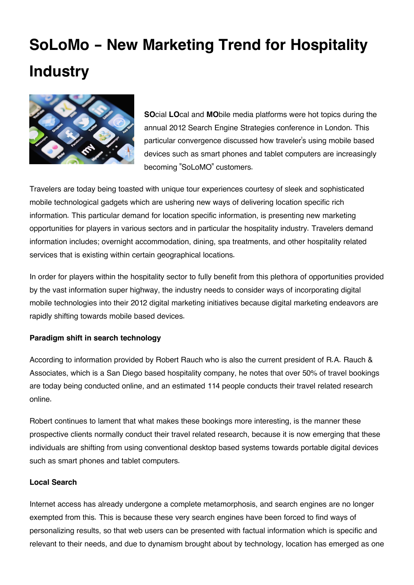## **SoLoMo - New Marketing Trend for Hospitality Industry**



**SO**cial **LO**cal and **MO**bile media platforms were hot topics during the annual 2012 Search Engine Strategies conference in London. This particular convergence discussed how traveler's using mobile based devices such as smart phones and tablet computers are increasingly becoming "SoLoMO" customers.

Travelers are today being toasted with unique tour experiences courtesy of sleek and sophisticated mobile technological gadgets which are ushering new ways of delivering location specific rich information. This particular demand for location specific information, is presenting new marketing opportunities for players in various sectors and in particular the hospitality industry. Travelers demand information includes; overnight accommodation, dining, spa treatments, and other hospitality related services that is existing within certain geographical locations.

In order for players within the hospitality sector to fully benefit from this plethora of opportunities provided by the vast information super highway, the industry needs to consider ways of incorporating digital mobile technologies into their 2012 digital marketing initiatives because digital marketing endeavors are rapidly shifting towards mobile based devices.

## **Paradigm shift in search technology**

According to information provided by Robert Rauch who is also the current president of R.A. Rauch & Associates, which is a San Diego based hospitality company, he notes that over 50% of travel bookings are today being conducted online, and an estimated 114 people conducts their travel related research online.

Robert continues to lament that what makes these bookings more interesting, is the manner these prospective clients normally conduct their travel related research, because it is now emerging that these individuals are shifting from using conventional desktop based systems towards portable digital devices such as smart phones and tablet computers.

## **Local Search**

Internet access has already undergone a complete metamorphosis, and search engines are no longer exempted from this. This is because these very search engines have been forced to find ways of personalizing results, so that web users can be presented with factual information which is specific and relevant to their needs, and due to dynamism brought about by technology, location has emerged as one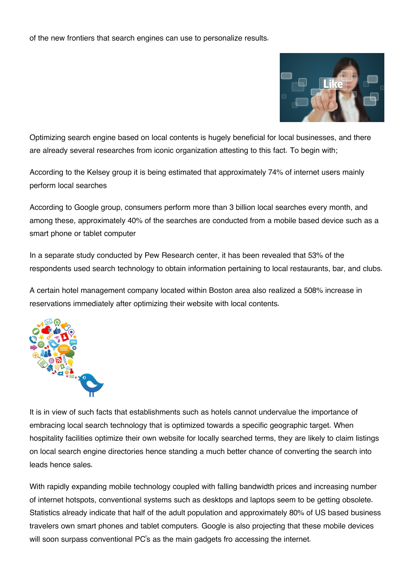of the new frontiers that search engines can use to personalize results.



Optimizing search engine based on local contents is hugely beneficial for local businesses, and there are already several researches from iconic organization attesting to this fact. To begin with;

According to the Kelsey group it is being estimated that approximately 74% of internet users mainly perform local searches

According to Google group, consumers perform more than 3 billion local searches every month, and among these, approximately 40% of the searches are conducted from a mobile based device such as a smart phone or tablet computer

In a separate study conducted by Pew Research center, it has been revealed that 53% of the respondents used search technology to obtain information pertaining to local restaurants, bar, and clubs.

A certain hotel management company located within Boston area also realized a 508% increase in reservations immediately after optimizing their website with local contents.



It is in view of such facts that establishments such as hotels cannot undervalue the importance of embracing local search technology that is optimized towards a specific geographic target. When hospitality facilities optimize their own website for locally searched terms, they are likely to claim listings on local search engine directories hence standing a much better chance of converting the search into leads hence sales.

With rapidly expanding mobile technology coupled with falling bandwidth prices and increasing number of internet hotspots, conventional systems such as desktops and laptops seem to be getting obsolete. Statistics already indicate that half of the adult population and approximately 80% of US based business travelers own smart phones and tablet computers. Google is also projecting that these mobile devices will soon surpass conventional PC's as the main gadgets fro accessing the internet.